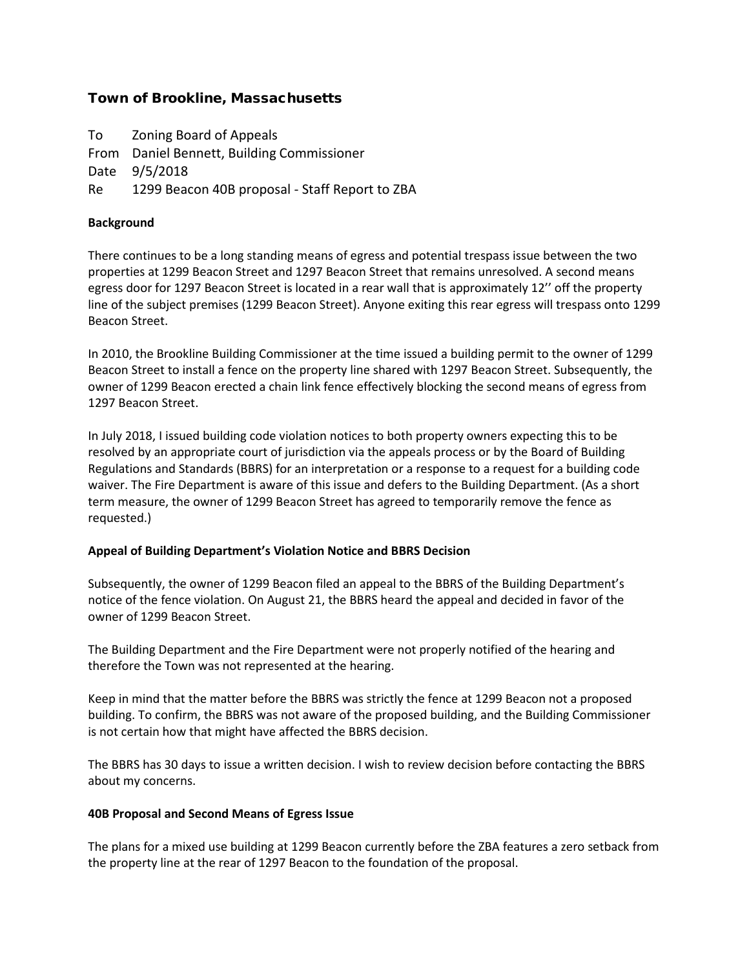# Town of Brookline, Massachusetts

To Zoning Board of Appeals From Daniel Bennett, Building Commissioner Date 9/5/2018 Re 1299 Beacon 40B proposal - Staff Report to ZBA

### **Background**

There continues to be a long standing means of egress and potential trespass issue between the two properties at 1299 Beacon Street and 1297 Beacon Street that remains unresolved. A second means egress door for 1297 Beacon Street is located in a rear wall that is approximately 12'' off the property line of the subject premises (1299 Beacon Street). Anyone exiting this rear egress will trespass onto 1299 Beacon Street.

In 2010, the Brookline Building Commissioner at the time issued a building permit to the owner of 1299 Beacon Street to install a fence on the property line shared with 1297 Beacon Street. Subsequently, the owner of 1299 Beacon erected a chain link fence effectively blocking the second means of egress from 1297 Beacon Street.

In July 2018, I issued building code violation notices to both property owners expecting this to be resolved by an appropriate court of jurisdiction via the appeals process or by the Board of Building Regulations and Standards (BBRS) for an interpretation or a response to a request for a building code waiver. The Fire Department is aware of this issue and defers to the Building Department. (As a short term measure, the owner of 1299 Beacon Street has agreed to temporarily remove the fence as requested.)

#### **Appeal of Building Department's Violation Notice and BBRS Decision**

Subsequently, the owner of 1299 Beacon filed an appeal to the BBRS of the Building Department's notice of the fence violation. On August 21, the BBRS heard the appeal and decided in favor of the owner of 1299 Beacon Street.

The Building Department and the Fire Department were not properly notified of the hearing and therefore the Town was not represented at the hearing.

Keep in mind that the matter before the BBRS was strictly the fence at 1299 Beacon not a proposed building. To confirm, the BBRS was not aware of the proposed building, and the Building Commissioner is not certain how that might have affected the BBRS decision.

The BBRS has 30 days to issue a written decision. I wish to review decision before contacting the BBRS about my concerns.

#### **40B Proposal and Second Means of Egress Issue**

The plans for a mixed use building at 1299 Beacon currently before the ZBA features a zero setback from the property line at the rear of 1297 Beacon to the foundation of the proposal.